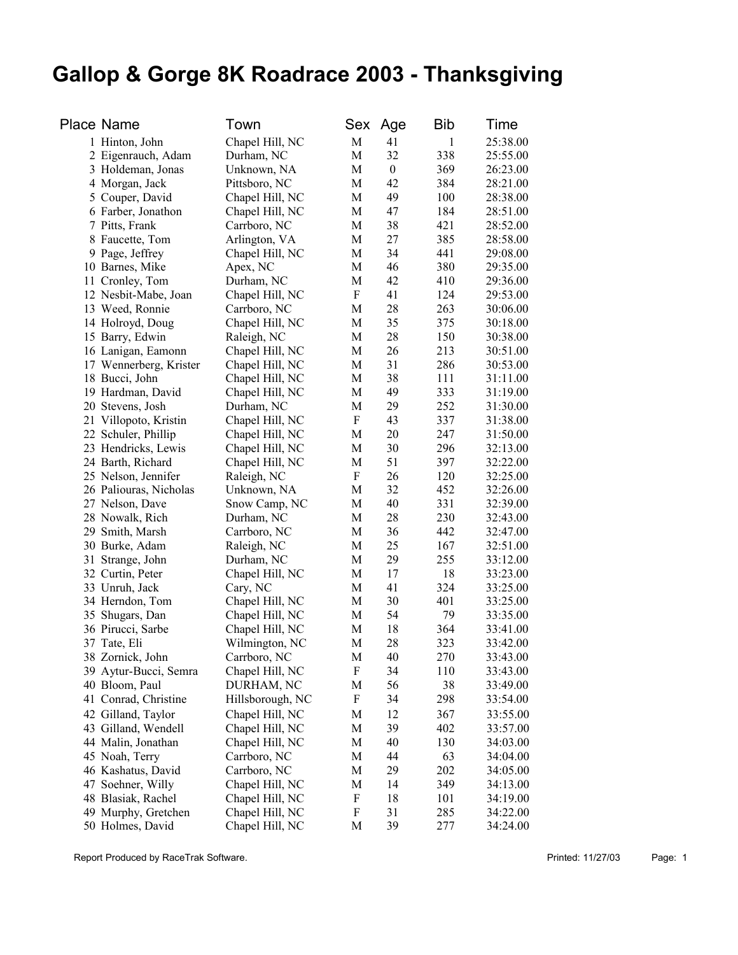## **Gallop & Gorge 8K Roadrace 2003 - Thanksgiving**

| <b>Place Name</b>      | Town             | Sex         | Age              | Bib | Time     |
|------------------------|------------------|-------------|------------------|-----|----------|
| 1 Hinton, John         | Chapel Hill, NC  | M           | 41               | 1   | 25:38.00 |
| 2 Eigenrauch, Adam     | Durham, NC       | M           | 32               | 338 | 25:55.00 |
| 3 Holdeman, Jonas      | Unknown, NA      | M           | $\boldsymbol{0}$ | 369 | 26:23.00 |
| 4 Morgan, Jack         | Pittsboro, NC    | M           | 42               | 384 | 28:21.00 |
| 5 Couper, David        | Chapel Hill, NC  | M           | 49               | 100 | 28:38.00 |
| 6 Farber, Jonathon     | Chapel Hill, NC  | M           | 47               | 184 | 28:51.00 |
| 7 Pitts, Frank         | Carrboro, NC     | M           | 38               | 421 | 28:52.00 |
| 8 Faucette, Tom        | Arlington, VA    | M           | 27               | 385 | 28:58.00 |
| 9 Page, Jeffrey        | Chapel Hill, NC  | M           | 34               | 441 | 29:08.00 |
| 10 Barnes, Mike        | Apex, NC         | $\mathbf M$ | 46               | 380 | 29:35.00 |
| 11 Cronley, Tom        | Durham, NC       | M           | 42               | 410 | 29:36.00 |
| 12 Nesbit-Mabe, Joan   | Chapel Hill, NC  | F           | 41               | 124 | 29:53.00 |
| 13 Weed, Ronnie        | Carrboro, NC     | M           | 28               | 263 | 30:06.00 |
| 14 Holroyd, Doug       | Chapel Hill, NC  | M           | 35               | 375 | 30:18.00 |
| 15 Barry, Edwin        | Raleigh, NC      | M           | 28               | 150 | 30:38.00 |
| 16 Lanigan, Eamonn     | Chapel Hill, NC  | M           | 26               | 213 | 30:51.00 |
| 17 Wennerberg, Krister | Chapel Hill, NC  | M           | 31               | 286 | 30:53.00 |
| 18 Bucci, John         | Chapel Hill, NC  | M           | 38               | 111 | 31:11.00 |
| 19 Hardman, David      | Chapel Hill, NC  | M           | 49               | 333 | 31:19.00 |
| 20 Stevens, Josh       | Durham, NC       | M           | 29               | 252 | 31:30.00 |
| 21 Villopoto, Kristin  | Chapel Hill, NC  | F           | 43               | 337 | 31:38.00 |
| 22 Schuler, Phillip    | Chapel Hill, NC  | M           | 20               | 247 | 31:50.00 |
| 23 Hendricks, Lewis    | Chapel Hill, NC  | M           | 30               | 296 | 32:13.00 |
| 24 Barth, Richard      | Chapel Hill, NC  | M           | 51               | 397 | 32:22.00 |
| 25 Nelson, Jennifer    | Raleigh, NC      | F           | 26               | 120 | 32:25.00 |
| 26 Paliouras, Nicholas | Unknown, NA      | M           | 32               | 452 | 32:26.00 |
| 27 Nelson, Dave        | Snow Camp, NC    | M           | 40               | 331 | 32:39.00 |
| 28 Nowalk, Rich        | Durham, NC       | M           | 28               | 230 | 32:43.00 |
| 29 Smith, Marsh        | Carrboro, NC     | M           | 36               | 442 | 32:47.00 |
| 30 Burke, Adam         | Raleigh, NC      | M           | 25               | 167 | 32:51.00 |
| 31 Strange, John       | Durham, NC       | M           | 29               | 255 | 33:12.00 |
| 32 Curtin, Peter       | Chapel Hill, NC  | M           | 17               | 18  | 33:23.00 |
| 33 Unruh, Jack         | Cary, NC         | M           | 41               | 324 | 33:25.00 |
| 34 Herndon, Tom        | Chapel Hill, NC  | M           | 30               | 401 | 33:25.00 |
| 35 Shugars, Dan        | Chapel Hill, NC  | M           | 54               | 79  | 33:35.00 |
| 36 Pirucci, Sarbe      | Chapel Hill, NC  | M           | 18               | 364 | 33:41.00 |
| 37 Tate, Eli           | Wilmington, NC   | M           | 28               | 323 | 33:42.00 |
| 38 Zornick, John       | Carrboro, NC     | M           | 40               | 270 | 33:43.00 |
| 39 Aytur-Bucci, Semra  | Chapel Hill, NC  | F           | 34               | 110 | 33:43.00 |
| 40 Bloom, Paul         | DURHAM, NC       | M           | 56               | 38  | 33:49.00 |
| 41 Conrad, Christine   | Hillsborough, NC | F           | 34               | 298 | 33:54.00 |
| 42 Gilland, Taylor     | Chapel Hill, NC  | M           | 12               | 367 | 33:55.00 |
| 43 Gilland, Wendell    | Chapel Hill, NC  | M           | 39               | 402 | 33:57.00 |
| 44 Malin, Jonathan     | Chapel Hill, NC  | M           | 40               | 130 | 34:03.00 |
| 45 Noah, Terry         | Carrboro, NC     | M           | 44               | 63  | 34:04.00 |
| 46 Kashatus, David     | Carrboro, NC     | M           | 29               | 202 | 34:05.00 |
| 47 Soehner, Willy      | Chapel Hill, NC  | M           | 14               | 349 | 34:13.00 |
| 48 Blasiak, Rachel     | Chapel Hill, NC  | F           | 18               | 101 | 34:19.00 |
| 49 Murphy, Gretchen    | Chapel Hill, NC  | F           | 31               | 285 | 34:22.00 |
| 50 Holmes, David       | Chapel Hill, NC  | M           | 39               | 277 | 34:24.00 |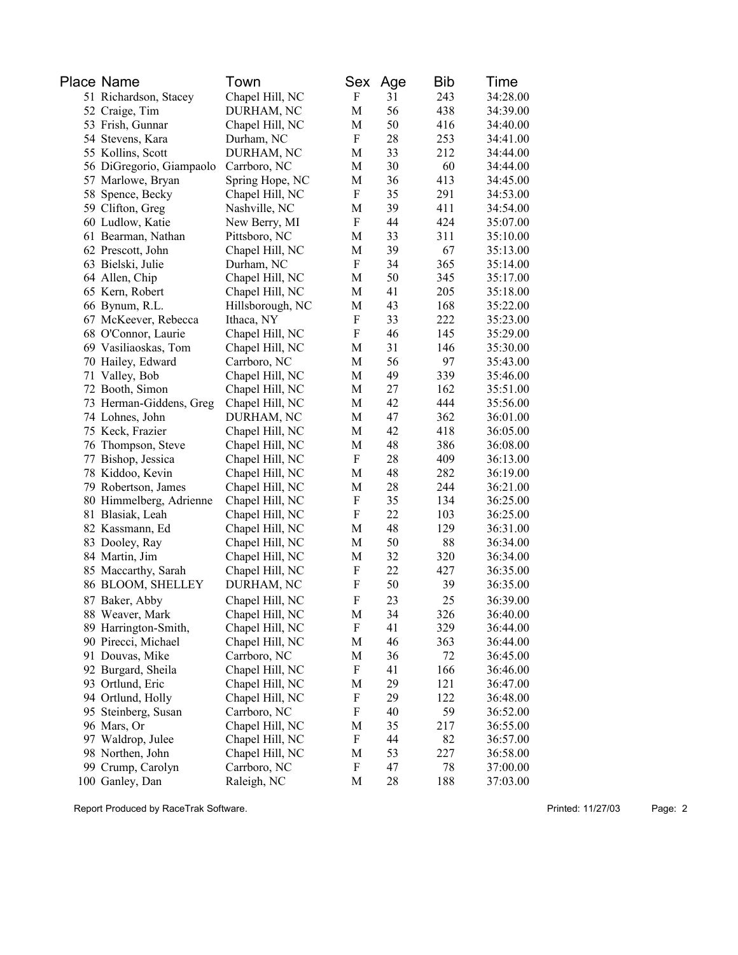| Place Name                               | Town             | Sex                       | Age | <b>Bib</b> | Time                 |
|------------------------------------------|------------------|---------------------------|-----|------------|----------------------|
| 51 Richardson, Stacey                    | Chapel Hill, NC  | $\boldsymbol{\mathrm{F}}$ | 31  | 243        | 34:28.00             |
| 52 Craige, Tim                           | DURHAM, NC       | M                         | 56  | 438        | 34:39.00             |
| 53 Frish, Gunnar                         | Chapel Hill, NC  | M                         | 50  | 416        | 34:40.00             |
| 54 Stevens, Kara                         | Durham, NC       | ${\bf F}$                 | 28  | 253        | 34:41.00             |
| 55 Kollins, Scott                        | DURHAM, NC       | M                         | 33  | 212        | 34:44.00             |
| 56 DiGregorio, Giampaolo                 | Carrboro, NC     | M                         | 30  | 60         | 34:44.00             |
| 57 Marlowe, Bryan                        | Spring Hope, NC  | M                         | 36  | 413        | 34:45.00             |
| 58 Spence, Becky                         | Chapel Hill, NC  | F                         | 35  | 291        | 34:53.00             |
| 59 Clifton, Greg                         | Nashville, NC    | M                         | 39  | 411        | 34:54.00             |
| 60 Ludlow, Katie                         | New Berry, MI    | F                         | 44  | 424        | 35:07.00             |
| 61 Bearman, Nathan                       | Pittsboro, NC    | M                         | 33  | 311        | 35:10.00             |
| 62 Prescott, John                        | Chapel Hill, NC  | M                         | 39  | 67         | 35:13.00             |
| 63 Bielski, Julie                        | Durham, NC       | $\boldsymbol{\mathrm{F}}$ | 34  | 365        | 35:14.00             |
| 64 Allen, Chip                           | Chapel Hill, NC  | M                         | 50  | 345        | 35:17.00             |
| 65 Kern, Robert                          | Chapel Hill, NC  | M                         | 41  | 205        | 35:18.00             |
| 66 Bynum, R.L.                           | Hillsborough, NC | M                         | 43  | 168        | 35:22.00             |
| 67 McKeever, Rebecca                     | Ithaca, NY       | ${\bf F}$                 | 33  | 222        | 35:23.00             |
| 68 O'Connor, Laurie                      | Chapel Hill, NC  | ${\bf F}$                 | 46  | 145        | 35:29.00             |
| 69 Vasiliaoskas, Tom                     | Chapel Hill, NC  | M                         | 31  | 146        | 35:30.00             |
| 70 Hailey, Edward                        | Carrboro, NC     | M                         | 56  | 97         | 35:43.00             |
| 71 Valley, Bob                           | Chapel Hill, NC  | M                         | 49  | 339        | 35:46.00             |
| 72 Booth, Simon                          | Chapel Hill, NC  | M                         | 27  | 162        | 35:51.00             |
| 73 Herman-Giddens, Greg                  | Chapel Hill, NC  | M                         | 42  | 444        | 35:56.00             |
| 74 Lohnes, John                          | DURHAM, NC       | M                         | 47  | 362        | 36:01.00             |
| 75 Keck, Frazier                         | Chapel Hill, NC  | M                         | 42  | 418        | 36:05.00             |
| 76 Thompson, Steve                       | Chapel Hill, NC  | M                         | 48  | 386        | 36:08.00             |
| 77 Bishop, Jessica                       | Chapel Hill, NC  | F                         | 28  | 409        | 36:13.00             |
| 78 Kiddoo, Kevin                         | Chapel Hill, NC  | M                         | 48  | 282        | 36:19.00             |
| 79 Robertson, James                      | Chapel Hill, NC  | M                         | 28  | 244        | 36:21.00             |
| 80 Himmelberg, Adrienne                  | Chapel Hill, NC  | F                         | 35  | 134        | 36:25.00             |
| 81 Blasiak, Leah                         | Chapel Hill, NC  | ${\bf F}$                 | 22  | 103        | 36:25.00             |
| 82 Kassmann, Ed                          | Chapel Hill, NC  | M                         | 48  | 129        | 36:31.00             |
| 83 Dooley, Ray                           |                  | M                         | 50  | 88         | 36:34.00             |
|                                          | Chapel Hill, NC  | M                         | 32  | 320        | 36:34.00             |
| 84 Martin, Jim                           | Chapel Hill, NC  | F                         | 22  |            |                      |
| 85 Maccarthy, Sarah<br>86 BLOOM, SHELLEY | Chapel Hill, NC  | F                         | 50  | 427<br>39  | 36:35.00<br>36:35.00 |
|                                          | DURHAM, NC       |                           |     |            |                      |
| 87 Baker, Abby                           | Chapel Hill, NC  | F                         | 23  | 25         | 36:39.00             |
| 88 Weaver, Mark                          | Chapel Hill, NC  | M                         | 34  | 326        | 36:40.00             |
| 89 Harrington-Smith,                     | Chapel Hill, NC  | F                         | 41  | 329        | 36:44.00             |
| 90 Pirecci, Michael                      | Chapel Hill, NC  | M                         | 46  | 363        | 36:44.00             |
| 91 Douvas, Mike                          | Carrboro, NC     | M                         | 36  | 72         | 36:45.00             |
| 92 Burgard, Sheila                       | Chapel Hill, NC  | F                         | 41  | 166        | 36:46.00             |
| 93 Ortlund, Eric                         | Chapel Hill, NC  | M                         | 29  | 121        | 36:47.00             |
| 94 Ortlund, Holly                        | Chapel Hill, NC  | F                         | 29  | 122        | 36:48.00             |
| 95 Steinberg, Susan                      | Carrboro, NC     | F                         | 40  | 59         | 36:52.00             |
| 96 Mars, Or                              | Chapel Hill, NC  | M                         | 35  | 217        | 36:55.00             |
| 97 Waldrop, Julee                        | Chapel Hill, NC  | F                         | 44  | 82         | 36:57.00             |
| 98 Northen, John                         | Chapel Hill, NC  | M                         | 53  | 227        | 36:58.00             |
| 99 Crump, Carolyn                        | Carrboro, NC     | F                         | 47  | 78         | 37:00.00             |
| 100 Ganley, Dan                          | Raleigh, NC      | M                         | 28  | 188        | 37:03.00             |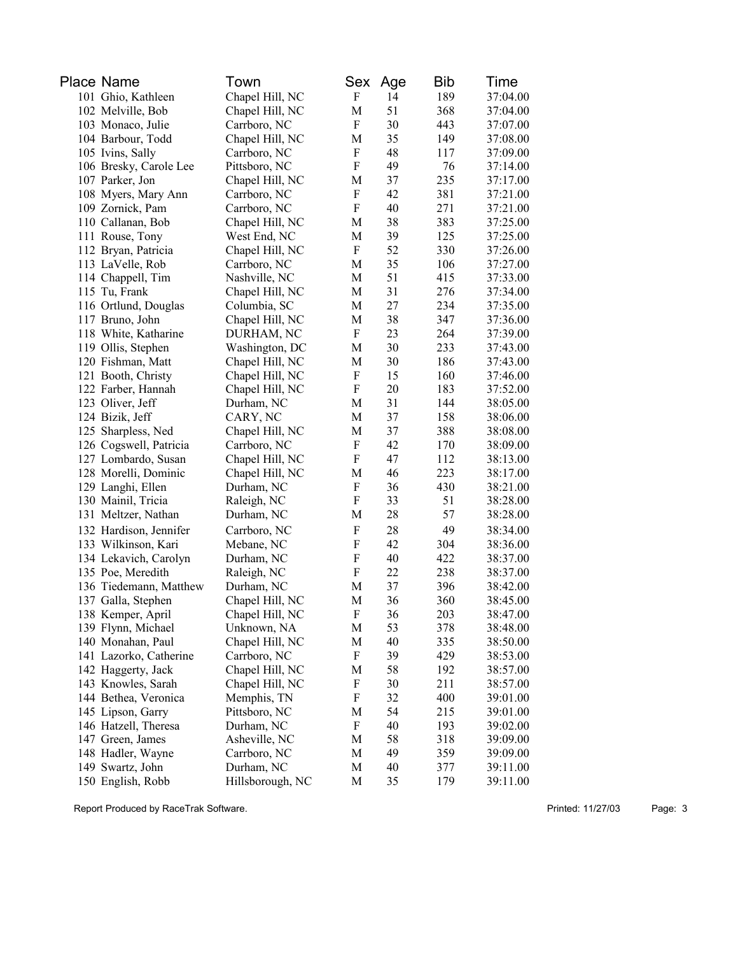| Place Name             | Town             | Sex                       | Age | Bib | Time     |
|------------------------|------------------|---------------------------|-----|-----|----------|
| 101 Ghio, Kathleen     | Chapel Hill, NC  | $\boldsymbol{\mathrm{F}}$ | 14  | 189 | 37:04.00 |
| 102 Melville, Bob      | Chapel Hill, NC  | M                         | 51  | 368 | 37:04.00 |
| 103 Monaco, Julie      | Carrboro, NC     | F                         | 30  | 443 | 37:07.00 |
| 104 Barbour, Todd      | Chapel Hill, NC  | M                         | 35  | 149 | 37:08.00 |
| 105 Ivins, Sally       | Carrboro, NC     | $\boldsymbol{\mathrm{F}}$ | 48  | 117 | 37:09.00 |
| 106 Bresky, Carole Lee | Pittsboro, NC    | $\boldsymbol{\mathrm{F}}$ | 49  | 76  | 37:14.00 |
| 107 Parker, Jon        | Chapel Hill, NC  | M                         | 37  | 235 | 37:17.00 |
| 108 Myers, Mary Ann    | Carrboro, NC     | $\boldsymbol{\mathrm{F}}$ | 42  | 381 | 37:21.00 |
| 109 Zornick, Pam       | Carrboro, NC     | F                         | 40  | 271 | 37:21.00 |
| 110 Callanan, Bob      | Chapel Hill, NC  | M                         | 38  | 383 | 37:25.00 |
| 111 Rouse, Tony        | West End, NC     | M                         | 39  | 125 | 37:25.00 |
| 112 Bryan, Patricia    | Chapel Hill, NC  | $\boldsymbol{F}$          | 52  | 330 | 37:26.00 |
| 113 LaVelle, Rob       | Carrboro, NC     | M                         | 35  | 106 | 37:27.00 |
| 114 Chappell, Tim      | Nashville, NC    | M                         | 51  | 415 | 37:33.00 |
| 115 Tu, Frank          | Chapel Hill, NC  | M                         | 31  | 276 | 37:34.00 |
| 116 Ortlund, Douglas   | Columbia, SC     | M                         | 27  | 234 | 37:35.00 |
| 117 Bruno, John        | Chapel Hill, NC  | M                         | 38  | 347 | 37:36.00 |
| 118 White, Katharine   | DURHAM, NC       | F                         | 23  | 264 | 37:39.00 |
| 119 Ollis, Stephen     | Washington, DC   | M                         | 30  | 233 | 37:43.00 |
| 120 Fishman, Matt      | Chapel Hill, NC  | M                         | 30  | 186 | 37:43.00 |
| 121 Booth, Christy     | Chapel Hill, NC  | F                         | 15  | 160 | 37:46.00 |
| 122 Farber, Hannah     | Chapel Hill, NC  | F                         | 20  | 183 | 37:52.00 |
| 123 Oliver, Jeff       | Durham, NC       | M                         | 31  | 144 | 38:05.00 |
| 124 Bizik, Jeff        | CARY, NC         | M                         | 37  | 158 | 38:06.00 |
| 125 Sharpless, Ned     | Chapel Hill, NC  | M                         | 37  | 388 | 38:08.00 |
| 126 Cogswell, Patricia | Carrboro, NC     | $\boldsymbol{\mathrm{F}}$ | 42  | 170 | 38:09.00 |
| 127 Lombardo, Susan    | Chapel Hill, NC  | ${\bf F}$                 | 47  | 112 | 38:13.00 |
| 128 Morelli, Dominic   | Chapel Hill, NC  | M                         | 46  | 223 | 38:17.00 |
| 129 Langhi, Ellen      | Durham, NC       | $\boldsymbol{\mathrm{F}}$ | 36  | 430 | 38:21.00 |
| 130 Mainil, Tricia     | Raleigh, NC      | ${\bf F}$                 | 33  | 51  | 38:28.00 |
| 131 Meltzer, Nathan    | Durham, NC       | M                         | 28  | 57  | 38:28.00 |
| 132 Hardison, Jennifer | Carrboro, NC     | $\boldsymbol{\mathrm{F}}$ | 28  | 49  | 38:34.00 |
| 133 Wilkinson, Kari    | Mebane, NC       | $\boldsymbol{\mathrm{F}}$ | 42  | 304 | 38:36.00 |
| 134 Lekavich, Carolyn  | Durham, NC       | ${\bf F}$                 | 40  | 422 | 38:37.00 |
| 135 Poe, Meredith      | Raleigh, NC      | $\boldsymbol{\mathrm{F}}$ | 22  | 238 | 38:37.00 |
| 136 Tiedemann, Matthew | Durham, NC       | M                         | 37  | 396 | 38:42.00 |
| 137 Galla, Stephen     | Chapel Hill, NC  | M                         | 36  | 360 | 38:45.00 |
| 138 Kemper, April      | Chapel Hill, NC  | F                         | 36  | 203 | 38:47.00 |
| 139 Flynn, Michael     | Unknown, NA      | M                         | 53  | 378 | 38:48.00 |
| 140 Monahan, Paul      | Chapel Hill, NC  | M                         | 40  | 335 | 38:50.00 |
| 141 Lazorko, Catherine | Carrboro, NC     | F                         | 39  | 429 | 38:53.00 |
| 142 Haggerty, Jack     | Chapel Hill, NC  | M                         | 58  | 192 | 38:57.00 |
| 143 Knowles, Sarah     | Chapel Hill, NC  | F                         | 30  | 211 | 38:57.00 |
| 144 Bethea, Veronica   | Memphis, TN      | F                         | 32  | 400 | 39:01.00 |
| 145 Lipson, Garry      | Pittsboro, NC    | M                         | 54  | 215 | 39:01.00 |
| 146 Hatzell, Theresa   | Durham, NC       | F                         | 40  | 193 | 39:02.00 |
| 147 Green, James       | Asheville, NC    | M                         | 58  | 318 | 39:09.00 |
| 148 Hadler, Wayne      | Carrboro, NC     | M                         | 49  | 359 | 39:09.00 |
| 149 Swartz, John       | Durham, NC       | M                         | 40  | 377 | 39:11.00 |
| 150 English, Robb      | Hillsborough, NC | M                         | 35  | 179 | 39:11.00 |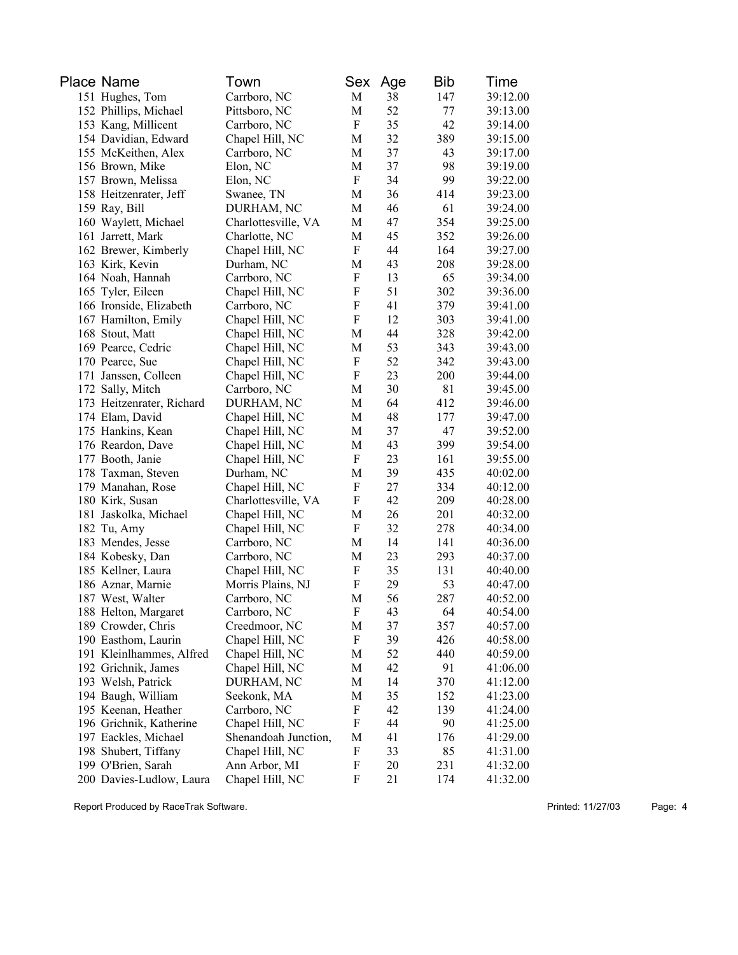| Place Name                | Town                 | Sex         | Age | <b>Bib</b> | Time     |
|---------------------------|----------------------|-------------|-----|------------|----------|
| 151 Hughes, Tom           | Carrboro, NC         | M           | 38  | 147        | 39:12.00 |
| 152 Phillips, Michael     | Pittsboro, NC        | M           | 52  | 77         | 39:13.00 |
| 153 Kang, Millicent       | Carrboro, NC         | ${\bf F}$   | 35  | 42         | 39:14.00 |
| 154 Davidian, Edward      | Chapel Hill, NC      | M           | 32  | 389        | 39:15.00 |
| 155 McKeithen, Alex       | Carrboro, NC         | M           | 37  | 43         | 39:17.00 |
| 156 Brown, Mike           | Elon, NC             | M           | 37  | 98         | 39:19.00 |
| 157 Brown, Melissa        | Elon, NC             | F           | 34  | 99         | 39:22.00 |
| 158 Heitzenrater, Jeff    | Swanee, TN           | M           | 36  | 414        | 39:23.00 |
| 159 Ray, Bill             | DURHAM, NC           | M           | 46  | 61         | 39:24.00 |
| 160 Waylett, Michael      | Charlottesville, VA  | M           | 47  | 354        | 39:25.00 |
| 161 Jarrett, Mark         | Charlotte, NC        | M           | 45  | 352        | 39:26.00 |
| 162 Brewer, Kimberly      | Chapel Hill, NC      | F           | 44  | 164        | 39:27.00 |
| 163 Kirk, Kevin           | Durham, NC           | M           | 43  | 208        | 39:28.00 |
| 164 Noah, Hannah          | Carrboro, NC         | F           | 13  | 65         | 39:34.00 |
| 165 Tyler, Eileen         | Chapel Hill, NC      | F           | 51  | 302        | 39:36.00 |
| 166 Ironside, Elizabeth   | Carrboro, NC         | ${\bf F}$   | 41  | 379        | 39:41.00 |
| 167 Hamilton, Emily       | Chapel Hill, NC      | F           | 12  | 303        | 39:41.00 |
| 168 Stout, Matt           | Chapel Hill, NC      | M           | 44  | 328        | 39:42.00 |
| 169 Pearce, Cedric        | Chapel Hill, NC      | M           | 53  | 343        | 39:43.00 |
| 170 Pearce, Sue           | Chapel Hill, NC      | F           | 52  | 342        | 39:43.00 |
| 171 Janssen, Colleen      | Chapel Hill, NC      | F           | 23  | 200        | 39:44.00 |
| 172 Sally, Mitch          | Carrboro, NC         | M           | 30  | 81         | 39:45.00 |
| 173 Heitzenrater, Richard | DURHAM, NC           | M           | 64  | 412        | 39:46.00 |
| 174 Elam, David           | Chapel Hill, NC      | M           | 48  | 177        | 39:47.00 |
| 175 Hankins, Kean         | Chapel Hill, NC      | M           | 37  | 47         | 39:52.00 |
| 176 Reardon, Dave         | Chapel Hill, NC      | M           | 43  | 399        | 39:54.00 |
| 177 Booth, Janie          | Chapel Hill, NC      | F           | 23  | 161        | 39:55.00 |
| 178 Taxman, Steven        | Durham, NC           | M           | 39  | 435        | 40:02.00 |
| 179 Manahan, Rose         | Chapel Hill, NC      | F           | 27  | 334        | 40:12.00 |
| 180 Kirk, Susan           | Charlottesville, VA  | F           | 42  | 209        | 40:28.00 |
| 181 Jaskolka, Michael     | Chapel Hill, NC      | M           | 26  | 201        | 40:32.00 |
| 182 Tu, Amy               | Chapel Hill, NC      | F           | 32  | 278        | 40:34.00 |
| 183 Mendes, Jesse         | Carrboro, NC         | M           | 14  | 141        | 40:36.00 |
| 184 Kobesky, Dan          | Carrboro, NC         | M           | 23  | 293        | 40:37.00 |
| 185 Kellner, Laura        | Chapel Hill, NC      | F           | 35  | 131        | 40:40.00 |
| 186 Aznar, Marnie         | Morris Plains, NJ    | F           | 29  | 53         | 40:47.00 |
| 187 West, Walter          | Carrboro, NC         | M           | 56  | 287        | 40:52.00 |
| 188 Helton, Margaret      | Carrboro, NC         | F           | 43  | 64         | 40:54.00 |
| 189 Crowder, Chris        | Creedmoor, NC        | М           | 37  | 357        | 40:57.00 |
| 190 Easthom, Laurin       | Chapel Hill, NC      | F           | 39  | 426        | 40:58.00 |
| 191 Kleinlhammes, Alfred  | Chapel Hill, NC      | M           | 52  | 440        | 40:59.00 |
| 192 Grichnik, James       | Chapel Hill, NC      | M           | 42  | 91         | 41:06.00 |
| 193 Welsh, Patrick        | DURHAM, NC           | $\mathbf M$ | 14  | 370        | 41:12.00 |
| 194 Baugh, William        | Seekonk, MA          | M           | 35  | 152        | 41:23.00 |
| 195 Keenan, Heather       | Carrboro, NC         | F           | 42  | 139        | 41:24.00 |
| 196 Grichnik, Katherine   | Chapel Hill, NC      | F           | 44  | 90         | 41:25.00 |
| 197 Eackles, Michael      | Shenandoah Junction, | M           | 41  | 176        | 41:29.00 |
| 198 Shubert, Tiffany      | Chapel Hill, NC      | F           | 33  | 85         | 41:31.00 |
| 199 O'Brien, Sarah        | Ann Arbor, MI        | F           | 20  | 231        | 41:32.00 |
| 200 Davies-Ludlow, Laura  | Chapel Hill, NC      | F           | 21  | 174        | 41:32.00 |
|                           |                      |             |     |            |          |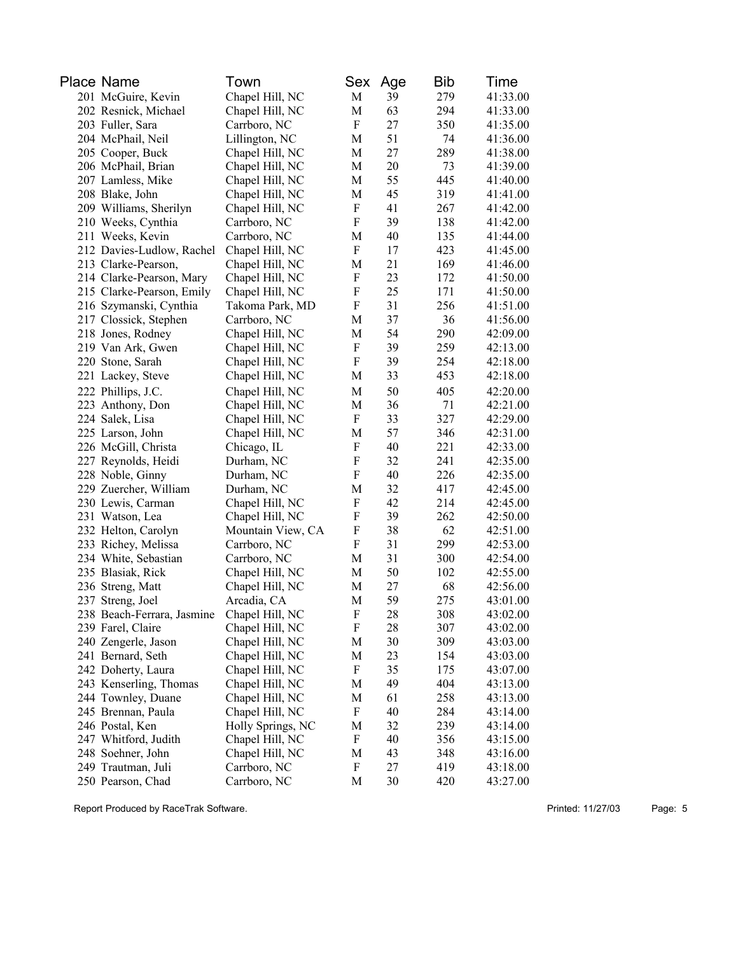| Place Name                | Town                                                                                                                                                                                                                                                                                                                                                                                                                                                                                                                                                                                                                           | Sex                                                                                                                                                                                                                                                                                                                                                                                                                                                                                                                                             | Age                                                                                                                      | <b>Bib</b>                                                                                                                             | Time                                                                                                                                                                     |
|---------------------------|--------------------------------------------------------------------------------------------------------------------------------------------------------------------------------------------------------------------------------------------------------------------------------------------------------------------------------------------------------------------------------------------------------------------------------------------------------------------------------------------------------------------------------------------------------------------------------------------------------------------------------|-------------------------------------------------------------------------------------------------------------------------------------------------------------------------------------------------------------------------------------------------------------------------------------------------------------------------------------------------------------------------------------------------------------------------------------------------------------------------------------------------------------------------------------------------|--------------------------------------------------------------------------------------------------------------------------|----------------------------------------------------------------------------------------------------------------------------------------|--------------------------------------------------------------------------------------------------------------------------------------------------------------------------|
|                           | Chapel Hill, NC                                                                                                                                                                                                                                                                                                                                                                                                                                                                                                                                                                                                                | M                                                                                                                                                                                                                                                                                                                                                                                                                                                                                                                                               | 39                                                                                                                       | 279                                                                                                                                    | 41:33.00                                                                                                                                                                 |
| 202 Resnick, Michael      | Chapel Hill, NC                                                                                                                                                                                                                                                                                                                                                                                                                                                                                                                                                                                                                | M                                                                                                                                                                                                                                                                                                                                                                                                                                                                                                                                               | 63                                                                                                                       | 294                                                                                                                                    | 41:33.00                                                                                                                                                                 |
| 203 Fuller, Sara          | Carrboro, NC                                                                                                                                                                                                                                                                                                                                                                                                                                                                                                                                                                                                                   | F                                                                                                                                                                                                                                                                                                                                                                                                                                                                                                                                               | 27                                                                                                                       | 350                                                                                                                                    | 41:35.00                                                                                                                                                                 |
| 204 McPhail, Neil         | Lillington, NC                                                                                                                                                                                                                                                                                                                                                                                                                                                                                                                                                                                                                 | M                                                                                                                                                                                                                                                                                                                                                                                                                                                                                                                                               | 51                                                                                                                       | 74                                                                                                                                     | 41:36.00                                                                                                                                                                 |
| 205 Cooper, Buck          | Chapel Hill, NC                                                                                                                                                                                                                                                                                                                                                                                                                                                                                                                                                                                                                | M                                                                                                                                                                                                                                                                                                                                                                                                                                                                                                                                               | 27                                                                                                                       | 289                                                                                                                                    | 41:38.00                                                                                                                                                                 |
| 206 McPhail, Brian        | Chapel Hill, NC                                                                                                                                                                                                                                                                                                                                                                                                                                                                                                                                                                                                                | M                                                                                                                                                                                                                                                                                                                                                                                                                                                                                                                                               | 20                                                                                                                       | 73                                                                                                                                     | 41:39.00                                                                                                                                                                 |
| 207 Lamless, Mike         | Chapel Hill, NC                                                                                                                                                                                                                                                                                                                                                                                                                                                                                                                                                                                                                | M                                                                                                                                                                                                                                                                                                                                                                                                                                                                                                                                               | 55                                                                                                                       | 445                                                                                                                                    | 41:40.00                                                                                                                                                                 |
| 208 Blake, John           | Chapel Hill, NC                                                                                                                                                                                                                                                                                                                                                                                                                                                                                                                                                                                                                | M                                                                                                                                                                                                                                                                                                                                                                                                                                                                                                                                               | 45                                                                                                                       | 319                                                                                                                                    | 41:41.00                                                                                                                                                                 |
| 209 Williams, Sherilyn    | Chapel Hill, NC                                                                                                                                                                                                                                                                                                                                                                                                                                                                                                                                                                                                                | F                                                                                                                                                                                                                                                                                                                                                                                                                                                                                                                                               | 41                                                                                                                       | 267                                                                                                                                    | 41:42.00                                                                                                                                                                 |
| 210 Weeks, Cynthia        | Carrboro, NC                                                                                                                                                                                                                                                                                                                                                                                                                                                                                                                                                                                                                   | F                                                                                                                                                                                                                                                                                                                                                                                                                                                                                                                                               | 39                                                                                                                       | 138                                                                                                                                    | 41:42.00                                                                                                                                                                 |
| 211 Weeks, Kevin          | Carrboro, NC                                                                                                                                                                                                                                                                                                                                                                                                                                                                                                                                                                                                                   | M                                                                                                                                                                                                                                                                                                                                                                                                                                                                                                                                               | 40                                                                                                                       | 135                                                                                                                                    | 41:44.00                                                                                                                                                                 |
| 212 Davies-Ludlow, Rachel | Chapel Hill, NC                                                                                                                                                                                                                                                                                                                                                                                                                                                                                                                                                                                                                | F                                                                                                                                                                                                                                                                                                                                                                                                                                                                                                                                               | 17                                                                                                                       | 423                                                                                                                                    | 41:45.00                                                                                                                                                                 |
| 213 Clarke-Pearson,       | Chapel Hill, NC                                                                                                                                                                                                                                                                                                                                                                                                                                                                                                                                                                                                                | M                                                                                                                                                                                                                                                                                                                                                                                                                                                                                                                                               | 21                                                                                                                       | 169                                                                                                                                    | 41:46.00                                                                                                                                                                 |
| 214 Clarke-Pearson, Mary  | Chapel Hill, NC                                                                                                                                                                                                                                                                                                                                                                                                                                                                                                                                                                                                                | $\boldsymbol{\mathrm{F}}$                                                                                                                                                                                                                                                                                                                                                                                                                                                                                                                       | 23                                                                                                                       | 172                                                                                                                                    | 41:50.00                                                                                                                                                                 |
| 215 Clarke-Pearson, Emily | Chapel Hill, NC                                                                                                                                                                                                                                                                                                                                                                                                                                                                                                                                                                                                                | ${\bf F}$                                                                                                                                                                                                                                                                                                                                                                                                                                                                                                                                       | 25                                                                                                                       | 171                                                                                                                                    | 41:50.00                                                                                                                                                                 |
| 216 Szymanski, Cynthia    | Takoma Park, MD                                                                                                                                                                                                                                                                                                                                                                                                                                                                                                                                                                                                                | $\boldsymbol{\mathrm{F}}$                                                                                                                                                                                                                                                                                                                                                                                                                                                                                                                       | 31                                                                                                                       | 256                                                                                                                                    | 41:51.00                                                                                                                                                                 |
| 217 Clossick, Stephen     | Carrboro, NC                                                                                                                                                                                                                                                                                                                                                                                                                                                                                                                                                                                                                   | M                                                                                                                                                                                                                                                                                                                                                                                                                                                                                                                                               | 37                                                                                                                       | 36                                                                                                                                     | 41:56.00                                                                                                                                                                 |
| 218 Jones, Rodney         | Chapel Hill, NC                                                                                                                                                                                                                                                                                                                                                                                                                                                                                                                                                                                                                | M                                                                                                                                                                                                                                                                                                                                                                                                                                                                                                                                               | 54                                                                                                                       | 290                                                                                                                                    | 42:09.00                                                                                                                                                                 |
| 219 Van Ark, Gwen         | Chapel Hill, NC                                                                                                                                                                                                                                                                                                                                                                                                                                                                                                                                                                                                                | F                                                                                                                                                                                                                                                                                                                                                                                                                                                                                                                                               | 39                                                                                                                       | 259                                                                                                                                    | 42:13.00                                                                                                                                                                 |
| 220 Stone, Sarah          | Chapel Hill, NC                                                                                                                                                                                                                                                                                                                                                                                                                                                                                                                                                                                                                | $\boldsymbol{\mathrm{F}}$                                                                                                                                                                                                                                                                                                                                                                                                                                                                                                                       | 39                                                                                                                       | 254                                                                                                                                    | 42:18.00                                                                                                                                                                 |
| 221 Lackey, Steve         | Chapel Hill, NC                                                                                                                                                                                                                                                                                                                                                                                                                                                                                                                                                                                                                | M                                                                                                                                                                                                                                                                                                                                                                                                                                                                                                                                               | 33                                                                                                                       | 453                                                                                                                                    | 42:18.00                                                                                                                                                                 |
|                           |                                                                                                                                                                                                                                                                                                                                                                                                                                                                                                                                                                                                                                |                                                                                                                                                                                                                                                                                                                                                                                                                                                                                                                                                 |                                                                                                                          |                                                                                                                                        | 42:20.00                                                                                                                                                                 |
|                           |                                                                                                                                                                                                                                                                                                                                                                                                                                                                                                                                                                                                                                |                                                                                                                                                                                                                                                                                                                                                                                                                                                                                                                                                 |                                                                                                                          |                                                                                                                                        | 42:21.00                                                                                                                                                                 |
|                           |                                                                                                                                                                                                                                                                                                                                                                                                                                                                                                                                                                                                                                | F                                                                                                                                                                                                                                                                                                                                                                                                                                                                                                                                               | 33                                                                                                                       |                                                                                                                                        | 42:29.00                                                                                                                                                                 |
|                           |                                                                                                                                                                                                                                                                                                                                                                                                                                                                                                                                                                                                                                |                                                                                                                                                                                                                                                                                                                                                                                                                                                                                                                                                 |                                                                                                                          |                                                                                                                                        | 42:31.00                                                                                                                                                                 |
|                           |                                                                                                                                                                                                                                                                                                                                                                                                                                                                                                                                                                                                                                |                                                                                                                                                                                                                                                                                                                                                                                                                                                                                                                                                 |                                                                                                                          |                                                                                                                                        | 42:33.00                                                                                                                                                                 |
|                           |                                                                                                                                                                                                                                                                                                                                                                                                                                                                                                                                                                                                                                |                                                                                                                                                                                                                                                                                                                                                                                                                                                                                                                                                 |                                                                                                                          |                                                                                                                                        | 42:35.00                                                                                                                                                                 |
|                           |                                                                                                                                                                                                                                                                                                                                                                                                                                                                                                                                                                                                                                | F                                                                                                                                                                                                                                                                                                                                                                                                                                                                                                                                               | 40                                                                                                                       |                                                                                                                                        | 42:35.00                                                                                                                                                                 |
|                           |                                                                                                                                                                                                                                                                                                                                                                                                                                                                                                                                                                                                                                |                                                                                                                                                                                                                                                                                                                                                                                                                                                                                                                                                 | 32                                                                                                                       |                                                                                                                                        | 42:45.00                                                                                                                                                                 |
|                           |                                                                                                                                                                                                                                                                                                                                                                                                                                                                                                                                                                                                                                |                                                                                                                                                                                                                                                                                                                                                                                                                                                                                                                                                 |                                                                                                                          |                                                                                                                                        | 42:45.00                                                                                                                                                                 |
|                           |                                                                                                                                                                                                                                                                                                                                                                                                                                                                                                                                                                                                                                |                                                                                                                                                                                                                                                                                                                                                                                                                                                                                                                                                 |                                                                                                                          |                                                                                                                                        | 42:50.00                                                                                                                                                                 |
|                           |                                                                                                                                                                                                                                                                                                                                                                                                                                                                                                                                                                                                                                | F                                                                                                                                                                                                                                                                                                                                                                                                                                                                                                                                               |                                                                                                                          |                                                                                                                                        | 42:51.00                                                                                                                                                                 |
|                           |                                                                                                                                                                                                                                                                                                                                                                                                                                                                                                                                                                                                                                | F                                                                                                                                                                                                                                                                                                                                                                                                                                                                                                                                               |                                                                                                                          | 299                                                                                                                                    | 42:53.00                                                                                                                                                                 |
|                           |                                                                                                                                                                                                                                                                                                                                                                                                                                                                                                                                                                                                                                |                                                                                                                                                                                                                                                                                                                                                                                                                                                                                                                                                 |                                                                                                                          |                                                                                                                                        | 42:54.00                                                                                                                                                                 |
|                           |                                                                                                                                                                                                                                                                                                                                                                                                                                                                                                                                                                                                                                |                                                                                                                                                                                                                                                                                                                                                                                                                                                                                                                                                 |                                                                                                                          |                                                                                                                                        | 42:55.00                                                                                                                                                                 |
|                           |                                                                                                                                                                                                                                                                                                                                                                                                                                                                                                                                                                                                                                |                                                                                                                                                                                                                                                                                                                                                                                                                                                                                                                                                 |                                                                                                                          |                                                                                                                                        | 42:56.00                                                                                                                                                                 |
|                           |                                                                                                                                                                                                                                                                                                                                                                                                                                                                                                                                                                                                                                |                                                                                                                                                                                                                                                                                                                                                                                                                                                                                                                                                 |                                                                                                                          |                                                                                                                                        | 43:01.00                                                                                                                                                                 |
|                           |                                                                                                                                                                                                                                                                                                                                                                                                                                                                                                                                                                                                                                |                                                                                                                                                                                                                                                                                                                                                                                                                                                                                                                                                 |                                                                                                                          |                                                                                                                                        | 43:02.00                                                                                                                                                                 |
|                           |                                                                                                                                                                                                                                                                                                                                                                                                                                                                                                                                                                                                                                | F                                                                                                                                                                                                                                                                                                                                                                                                                                                                                                                                               |                                                                                                                          |                                                                                                                                        | 43:02.00                                                                                                                                                                 |
|                           |                                                                                                                                                                                                                                                                                                                                                                                                                                                                                                                                                                                                                                |                                                                                                                                                                                                                                                                                                                                                                                                                                                                                                                                                 |                                                                                                                          |                                                                                                                                        | 43:03.00                                                                                                                                                                 |
|                           |                                                                                                                                                                                                                                                                                                                                                                                                                                                                                                                                                                                                                                |                                                                                                                                                                                                                                                                                                                                                                                                                                                                                                                                                 |                                                                                                                          |                                                                                                                                        | 43:03.00                                                                                                                                                                 |
|                           |                                                                                                                                                                                                                                                                                                                                                                                                                                                                                                                                                                                                                                | F                                                                                                                                                                                                                                                                                                                                                                                                                                                                                                                                               |                                                                                                                          |                                                                                                                                        | 43:07.00                                                                                                                                                                 |
|                           |                                                                                                                                                                                                                                                                                                                                                                                                                                                                                                                                                                                                                                |                                                                                                                                                                                                                                                                                                                                                                                                                                                                                                                                                 |                                                                                                                          |                                                                                                                                        | 43:13.00                                                                                                                                                                 |
|                           |                                                                                                                                                                                                                                                                                                                                                                                                                                                                                                                                                                                                                                |                                                                                                                                                                                                                                                                                                                                                                                                                                                                                                                                                 |                                                                                                                          |                                                                                                                                        | 43:13.00                                                                                                                                                                 |
|                           |                                                                                                                                                                                                                                                                                                                                                                                                                                                                                                                                                                                                                                |                                                                                                                                                                                                                                                                                                                                                                                                                                                                                                                                                 |                                                                                                                          |                                                                                                                                        | 43:14.00                                                                                                                                                                 |
| 246 Postal, Ken           |                                                                                                                                                                                                                                                                                                                                                                                                                                                                                                                                                                                                                                |                                                                                                                                                                                                                                                                                                                                                                                                                                                                                                                                                 | 32                                                                                                                       |                                                                                                                                        | 43:14.00                                                                                                                                                                 |
|                           |                                                                                                                                                                                                                                                                                                                                                                                                                                                                                                                                                                                                                                | F                                                                                                                                                                                                                                                                                                                                                                                                                                                                                                                                               |                                                                                                                          |                                                                                                                                        | 43:15.00                                                                                                                                                                 |
|                           |                                                                                                                                                                                                                                                                                                                                                                                                                                                                                                                                                                                                                                |                                                                                                                                                                                                                                                                                                                                                                                                                                                                                                                                                 |                                                                                                                          | 348                                                                                                                                    | 43:16.00                                                                                                                                                                 |
|                           |                                                                                                                                                                                                                                                                                                                                                                                                                                                                                                                                                                                                                                | F                                                                                                                                                                                                                                                                                                                                                                                                                                                                                                                                               | 27                                                                                                                       | 419                                                                                                                                    | 43:18.00                                                                                                                                                                 |
|                           | Carrboro, NC                                                                                                                                                                                                                                                                                                                                                                                                                                                                                                                                                                                                                   | M                                                                                                                                                                                                                                                                                                                                                                                                                                                                                                                                               | 30                                                                                                                       | 420                                                                                                                                    | 43:27.00                                                                                                                                                                 |
|                           | 201 McGuire, Kevin<br>222 Phillips, J.C.<br>223 Anthony, Don<br>224 Salek, Lisa<br>225 Larson, John<br>226 McGill, Christa<br>227 Reynolds, Heidi<br>228 Noble, Ginny<br>229 Zuercher, William<br>230 Lewis, Carman<br>231 Watson, Lea<br>232 Helton, Carolyn<br>233 Richey, Melissa<br>234 White, Sebastian<br>235 Blasiak, Rick<br>236 Streng, Matt<br>237 Streng, Joel<br>239 Farel, Claire<br>240 Zengerle, Jason<br>241 Bernard, Seth<br>242 Doherty, Laura<br>243 Kenserling, Thomas<br>244 Townley, Duane<br>245 Brennan, Paula<br>247 Whitford, Judith<br>248 Soehner, John<br>249 Trautman, Juli<br>250 Pearson, Chad | Chapel Hill, NC<br>Chapel Hill, NC<br>Chapel Hill, NC<br>Chapel Hill, NC<br>Chicago, IL<br>Durham, NC<br>Durham, NC<br>Durham, NC<br>Chapel Hill, NC<br>Chapel Hill, NC<br>Mountain View, CA<br>Carrboro, NC<br>Carrboro, NC<br>Chapel Hill, NC<br>Chapel Hill, NC<br>Arcadia, CA<br>238 Beach-Ferrara, Jasmine Chapel Hill, NC<br>Chapel Hill, NC<br>Chapel Hill, NC<br>Chapel Hill, NC<br>Chapel Hill, NC<br>Chapel Hill, NC<br>Chapel Hill, NC<br>Chapel Hill, NC<br>Holly Springs, NC<br>Chapel Hill, NC<br>Chapel Hill, NC<br>Carrboro, NC | M<br>M<br>M<br>F<br>F<br>M<br>$\boldsymbol{\mathrm{F}}$<br>F<br>M<br>M<br>M<br>M<br>F<br>M<br>M<br>М<br>M<br>F<br>М<br>М | 50<br>36<br>57<br>40<br>32<br>42<br>39<br>38<br>31<br>31<br>50<br>27<br>59<br>28<br>28<br>30<br>23<br>35<br>49<br>61<br>40<br>40<br>43 | 405<br>71<br>327<br>346<br>221<br>241<br>226<br>417<br>214<br>262<br>62<br>300<br>102<br>68<br>275<br>308<br>307<br>309<br>154<br>175<br>404<br>258<br>284<br>239<br>356 |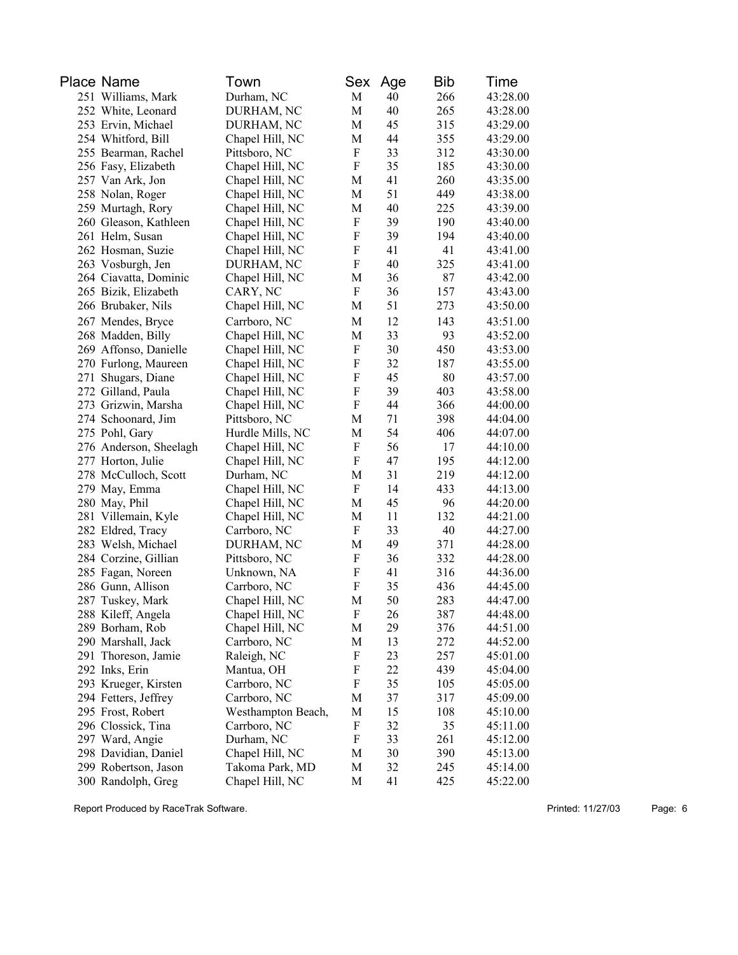| <b>Place Name</b>      | Town               | Sex         | Age | <b>Bib</b> | Time     |
|------------------------|--------------------|-------------|-----|------------|----------|
| 251 Williams, Mark     | Durham, NC         | $\mathbf M$ | 40  | 266        | 43:28.00 |
| 252 White, Leonard     | DURHAM, NC         | M           | 40  | 265        | 43:28.00 |
| 253 Ervin, Michael     | DURHAM, NC         | M           | 45  | 315        | 43:29.00 |
| 254 Whitford, Bill     | Chapel Hill, NC    | M           | 44  | 355        | 43:29.00 |
| 255 Bearman, Rachel    | Pittsboro, NC      | ${\bf F}$   | 33  | 312        | 43:30.00 |
| 256 Fasy, Elizabeth    | Chapel Hill, NC    | F           | 35  | 185        | 43:30.00 |
| 257 Van Ark, Jon       | Chapel Hill, NC    | M           | 41  | 260        | 43:35.00 |
| 258 Nolan, Roger       | Chapel Hill, NC    | M           | 51  | 449        | 43:38.00 |
| 259 Murtagh, Rory      | Chapel Hill, NC    | M           | 40  | 225        | 43:39.00 |
| 260 Gleason, Kathleen  | Chapel Hill, NC    | F           | 39  | 190        | 43:40.00 |
| 261 Helm, Susan        | Chapel Hill, NC    | F           | 39  | 194        | 43:40.00 |
| 262 Hosman, Suzie      | Chapel Hill, NC    | F           | 41  | 41         | 43:41.00 |
| 263 Vosburgh, Jen      | DURHAM, NC         | ${\bf F}$   | 40  | 325        | 43:41.00 |
| 264 Ciavatta, Dominic  | Chapel Hill, NC    | M           | 36  | 87         | 43:42.00 |
| 265 Bizik, Elizabeth   | CARY, NC           | F           | 36  | 157        | 43:43.00 |
| 266 Brubaker, Nils     | Chapel Hill, NC    | M           | 51  | 273        | 43:50.00 |
| 267 Mendes, Bryce      | Carrboro, NC       | M           | 12  | 143        | 43:51.00 |
| 268 Madden, Billy      | Chapel Hill, NC    | M           | 33  | 93         | 43:52.00 |
| 269 Affonso, Danielle  | Chapel Hill, NC    | F           | 30  | 450        | 43:53.00 |
| 270 Furlong, Maureen   | Chapel Hill, NC    | ${\bf F}$   | 32  | 187        | 43:55.00 |
| 271 Shugars, Diane     | Chapel Hill, NC    | ${\bf F}$   | 45  | 80         | 43:57.00 |
| 272 Gilland, Paula     | Chapel Hill, NC    | F           | 39  | 403        | 43:58.00 |
| 273 Grizwin, Marsha    | Chapel Hill, NC    | F           | 44  | 366        | 44:00.00 |
| 274 Schoonard, Jim     | Pittsboro, NC      | M           | 71  | 398        | 44:04.00 |
| 275 Pohl, Gary         | Hurdle Mills, NC   | M           | 54  | 406        | 44:07.00 |
| 276 Anderson, Sheelagh | Chapel Hill, NC    | F           | 56  | 17         | 44:10.00 |
| 277 Horton, Julie      | Chapel Hill, NC    | F           | 47  | 195        | 44:12.00 |
| 278 McCulloch, Scott   | Durham, NC         | M           | 31  | 219        | 44:12.00 |
| 279 May, Emma          | Chapel Hill, NC    | F           | 14  | 433        | 44:13.00 |
| 280 May, Phil          | Chapel Hill, NC    | M           | 45  | 96         | 44:20.00 |
| 281 Villemain, Kyle    | Chapel Hill, NC    | M           | 11  | 132        | 44:21.00 |
| 282 Eldred, Tracy      | Carrboro, NC       | F           | 33  | 40         | 44:27.00 |
| 283 Welsh, Michael     | DURHAM, NC         | M           | 49  | 371        | 44:28.00 |
| 284 Corzine, Gillian   | Pittsboro, NC      | ${\bf F}$   | 36  | 332        | 44:28.00 |
| 285 Fagan, Noreen      | Unknown, NA        | ${\bf F}$   | 41  | 316        | 44:36.00 |
| 286 Gunn, Allison      | Carrboro, NC       | F           | 35  | 436        | 44:45.00 |
| 287 Tuskey, Mark       | Chapel Hill, NC    | M           | 50  | 283        | 44:47.00 |
| 288 Kileff, Angela     | Chapel Hill, NC    | F           | 26  | 387        | 44:48.00 |
| 289 Borham, Rob        | Chapel Hill, NC    | M           | 29  | 376        | 44:51.00 |
| 290 Marshall, Jack     | Carrboro, NC       | M           | 13  | 272        | 44:52.00 |
| 291 Thoreson, Jamie    | Raleigh, NC        | F           | 23  | 257        | 45:01.00 |
| 292 Inks, Erin         | Mantua, OH         | F           | 22  | 439        | 45:04.00 |
| 293 Krueger, Kirsten   | Carrboro, NC       | F           | 35  | 105        | 45:05.00 |
| 294 Fetters, Jeffrey   | Carrboro, NC       | M           | 37  | 317        | 45:09.00 |
| 295 Frost, Robert      | Westhampton Beach, | M           | 15  | 108        | 45:10.00 |
| 296 Clossick, Tina     | Carrboro, NC       | F           | 32  | 35         | 45:11.00 |
| 297 Ward, Angie        | Durham, NC         | F           | 33  | 261        | 45:12.00 |
| 298 Davidian, Daniel   | Chapel Hill, NC    | M           | 30  | 390        | 45:13.00 |
| 299 Robertson, Jason   | Takoma Park, MD    | M           | 32  | 245        | 45:14.00 |
| 300 Randolph, Greg     | Chapel Hill, NC    | M           | 41  | 425        | 45:22.00 |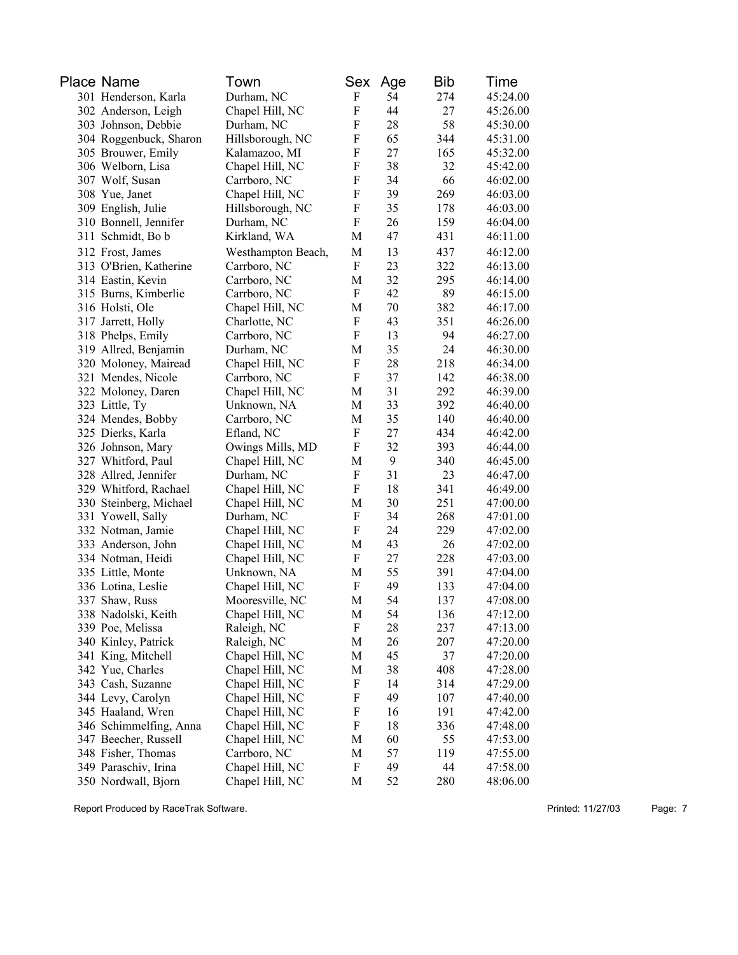| Place Name             | Town               | Sex                       | Age | Bib | Time     |
|------------------------|--------------------|---------------------------|-----|-----|----------|
| 301 Henderson, Karla   | Durham, NC         | $\boldsymbol{\mathrm{F}}$ | 54  | 274 | 45:24.00 |
| 302 Anderson, Leigh    | Chapel Hill, NC    | F                         | 44  | 27  | 45:26.00 |
| 303 Johnson, Debbie    | Durham, NC         | F                         | 28  | 58  | 45:30.00 |
| 304 Roggenbuck, Sharon | Hillsborough, NC   | F                         | 65  | 344 | 45:31.00 |
| 305 Brouwer, Emily     | Kalamazoo, MI      | ${\bf F}$                 | 27  | 165 | 45:32.00 |
| 306 Welborn, Lisa      | Chapel Hill, NC    | F                         | 38  | 32  | 45:42.00 |
| 307 Wolf, Susan        | Carrboro, NC       | F                         | 34  | 66  | 46:02.00 |
| 308 Yue, Janet         | Chapel Hill, NC    | F                         | 39  | 269 | 46:03.00 |
| 309 English, Julie     | Hillsborough, NC   | F                         | 35  | 178 | 46:03.00 |
| 310 Bonnell, Jennifer  | Durham, NC         | F                         | 26  | 159 | 46:04.00 |
| 311 Schmidt, Bob       | Kirkland, WA       | M                         | 47  | 431 | 46:11.00 |
| 312 Frost, James       | Westhampton Beach, | M                         | 13  | 437 | 46:12.00 |
| 313 O'Brien, Katherine | Carrboro, NC       | F                         | 23  | 322 | 46:13.00 |
| 314 Eastin, Kevin      | Carrboro, NC       | M                         | 32  | 295 | 46:14.00 |
| 315 Burns, Kimberlie   | Carrboro, NC       | F                         | 42  | 89  | 46:15.00 |
| 316 Holsti, Ole        | Chapel Hill, NC    | M                         | 70  | 382 | 46:17.00 |
| 317 Jarrett, Holly     | Charlotte, NC      | F                         | 43  | 351 | 46:26.00 |
| 318 Phelps, Emily      | Carrboro, NC       | ${\bf F}$                 | 13  | 94  | 46:27.00 |
| 319 Allred, Benjamin   | Durham, NC         | M                         | 35  | 24  | 46:30.00 |
| 320 Moloney, Mairead   | Chapel Hill, NC    | ${\bf F}$                 | 28  | 218 | 46:34.00 |
| 321 Mendes, Nicole     | Carrboro, NC       | ${\bf F}$                 | 37  | 142 | 46:38.00 |
| 322 Moloney, Daren     | Chapel Hill, NC    | M                         | 31  | 292 | 46:39.00 |
| 323 Little, Ty         | Unknown, NA        | M                         | 33  | 392 | 46:40.00 |
| 324 Mendes, Bobby      | Carrboro, NC       | M                         | 35  | 140 | 46:40.00 |
| 325 Dierks, Karla      | Efland, NC         | F                         | 27  | 434 | 46:42.00 |
| 326 Johnson, Mary      | Owings Mills, MD   | F                         | 32  | 393 | 46:44.00 |
| 327 Whitford, Paul     | Chapel Hill, NC    | M                         | 9   | 340 | 46:45.00 |
| 328 Allred, Jennifer   | Durham, NC         | F                         | 31  | 23  | 46:47.00 |
| 329 Whitford, Rachael  | Chapel Hill, NC    | F                         | 18  | 341 | 46:49.00 |
| 330 Steinberg, Michael | Chapel Hill, NC    | M                         | 30  | 251 | 47:00.00 |
| 331 Yowell, Sally      | Durham, NC         | F                         | 34  | 268 | 47:01.00 |
| 332 Notman, Jamie      | Chapel Hill, NC    | F                         | 24  | 229 | 47:02.00 |
| 333 Anderson, John     | Chapel Hill, NC    | M                         | 43  | 26  | 47:02.00 |
| 334 Notman, Heidi      | Chapel Hill, NC    | F                         | 27  | 228 | 47:03.00 |
| 335 Little, Monte      | Unknown, NA        | M                         | 55  | 391 | 47:04.00 |
| 336 Lotina, Leslie     | Chapel Hill, NC    | F                         | 49  | 133 | 47:04.00 |
| 337 Shaw, Russ         | Mooresville, NC    | M                         | 54  | 137 | 47:08.00 |
| 338 Nadolski, Keith    | Chapel Hill, NC    | M                         | 54  | 136 | 47:12.00 |
| 339 Poe, Melissa       | Raleigh, NC        | F                         | 28  | 237 | 47:13.00 |
| 340 Kinley, Patrick    | Raleigh, NC        | M                         | 26  | 207 | 47:20.00 |
| 341 King, Mitchell     | Chapel Hill, NC    | M                         | 45  | 37  | 47:20.00 |
| 342 Yue, Charles       | Chapel Hill, NC    | M                         | 38  | 408 | 47:28.00 |
| 343 Cash, Suzanne      | Chapel Hill, NC    | F                         | 14  | 314 | 47:29.00 |
| 344 Levy, Carolyn      | Chapel Hill, NC    | F                         | 49  | 107 | 47:40.00 |
| 345 Haaland, Wren      | Chapel Hill, NC    | F                         | 16  | 191 | 47:42.00 |
| 346 Schimmelfing, Anna | Chapel Hill, NC    | F                         | 18  | 336 | 47:48.00 |
| 347 Beecher, Russell   | Chapel Hill, NC    | M                         | 60  | 55  | 47:53.00 |
| 348 Fisher, Thomas     | Carrboro, NC       | M                         | 57  | 119 | 47:55.00 |
| 349 Paraschiv, Irina   | Chapel Hill, NC    | F                         | 49  | 44  | 47:58.00 |
| 350 Nordwall, Bjorn    | Chapel Hill, NC    | M                         | 52  | 280 | 48:06.00 |

Report Produced by RaceTrak Software. And The Software of the Software of the Printed: 11/27/03 Page: 7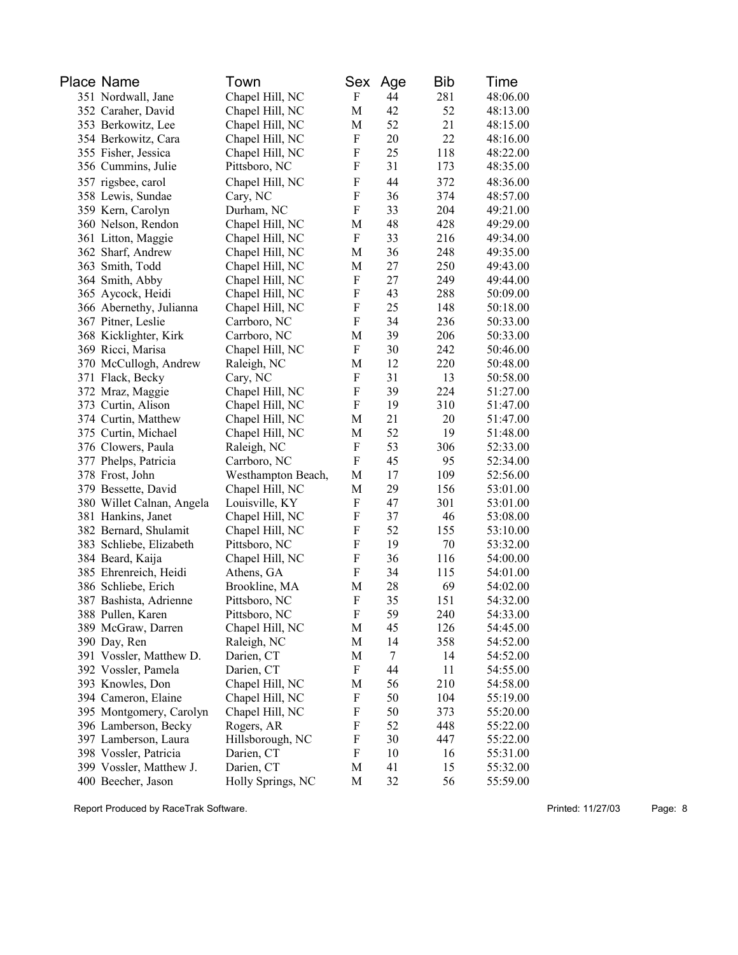| Place Name                | Town               | Sex                       | Age | Bib | Time     |
|---------------------------|--------------------|---------------------------|-----|-----|----------|
| 351 Nordwall, Jane        | Chapel Hill, NC    | $\boldsymbol{\mathrm{F}}$ | 44  | 281 | 48:06.00 |
| 352 Caraher, David        | Chapel Hill, NC    | M                         | 42  | 52  | 48:13.00 |
| 353 Berkowitz, Lee        | Chapel Hill, NC    | M                         | 52  | 21  | 48:15.00 |
| 354 Berkowitz, Cara       | Chapel Hill, NC    | ${\bf F}$                 | 20  | 22  | 48:16.00 |
| 355 Fisher, Jessica       | Chapel Hill, NC    | ${\bf F}$                 | 25  | 118 | 48:22.00 |
| 356 Cummins, Julie        | Pittsboro, NC      | F                         | 31  | 173 | 48:35.00 |
| 357 rigsbee, carol        | Chapel Hill, NC    | F                         | 44  | 372 | 48:36.00 |
| 358 Lewis, Sundae         | Cary, NC           | ${\bf F}$                 | 36  | 374 | 48:57.00 |
| 359 Kern, Carolyn         | Durham, NC         | ${\bf F}$                 | 33  | 204 | 49:21.00 |
| 360 Nelson, Rendon        | Chapel Hill, NC    | M                         | 48  | 428 | 49:29.00 |
| 361 Litton, Maggie        | Chapel Hill, NC    | F                         | 33  | 216 | 49:34.00 |
| 362 Sharf, Andrew         | Chapel Hill, NC    | M                         | 36  | 248 | 49:35.00 |
| 363 Smith, Todd           | Chapel Hill, NC    | M                         | 27  | 250 | 49:43.00 |
| 364 Smith, Abby           | Chapel Hill, NC    | F                         | 27  | 249 | 49:44.00 |
| 365 Aycock, Heidi         | Chapel Hill, NC    | F                         | 43  | 288 | 50:09.00 |
| 366 Abernethy, Julianna   | Chapel Hill, NC    | F                         | 25  | 148 | 50:18.00 |
| 367 Pitner, Leslie        | Carrboro, NC       | F                         | 34  | 236 | 50:33.00 |
| 368 Kicklighter, Kirk     | Carrboro, NC       | M                         | 39  | 206 | 50:33.00 |
| 369 Ricci, Marisa         | Chapel Hill, NC    | F                         | 30  | 242 | 50:46.00 |
| 370 McCullogh, Andrew     | Raleigh, NC        | M                         | 12  | 220 | 50:48.00 |
| 371 Flack, Becky          | Cary, NC           | ${\bf F}$                 | 31  | 13  | 50:58.00 |
| 372 Mraz, Maggie          | Chapel Hill, NC    | ${\bf F}$                 | 39  | 224 | 51:27.00 |
| 373 Curtin, Alison        | Chapel Hill, NC    | F                         | 19  | 310 | 51:47.00 |
| 374 Curtin, Matthew       | Chapel Hill, NC    | M                         | 21  | 20  | 51:47.00 |
| 375 Curtin, Michael       | Chapel Hill, NC    | M                         | 52  | 19  | 51:48.00 |
| 376 Clowers, Paula        | Raleigh, NC        | F                         | 53  | 306 | 52:33.00 |
| 377 Phelps, Patricia      | Carrboro, NC       | F                         | 45  | 95  | 52:34.00 |
| 378 Frost, John           | Westhampton Beach, | M                         | 17  | 109 | 52:56.00 |
| 379 Bessette, David       | Chapel Hill, NC    | M                         | 29  | 156 | 53:01.00 |
| 380 Willet Calnan, Angela | Louisville, KY     | F                         | 47  | 301 | 53:01.00 |
| 381 Hankins, Janet        | Chapel Hill, NC    | F                         | 37  | 46  | 53:08.00 |
| 382 Bernard, Shulamit     | Chapel Hill, NC    | ${\bf F}$                 | 52  | 155 | 53:10.00 |
| 383 Schliebe, Elizabeth   | Pittsboro, NC      | F                         | 19  | 70  | 53:32.00 |
| 384 Beard, Kaija          | Chapel Hill, NC    | ${\bf F}$                 | 36  | 116 | 54:00.00 |
| 385 Ehrenreich, Heidi     | Athens, GA         | F                         | 34  | 115 | 54:01.00 |
| 386 Schliebe, Erich       | Brookline, MA      | M                         | 28  | 69  | 54:02.00 |
| 387 Bashista, Adrienne    | Pittsboro, NC      | F                         | 35  | 151 | 54:32.00 |
| 388 Pullen, Karen         | Pittsboro, NC      | F                         | 59  | 240 | 54:33.00 |
| 389 McGraw, Darren        | Chapel Hill, NC    | M                         | 45  | 126 | 54:45.00 |
| 390 Day, Ren              | Raleigh, NC        | M                         | 14  | 358 | 54:52.00 |
| 391 Vossler, Matthew D.   | Darien, CT         | M                         | 7   | 14  | 54:52.00 |
| 392 Vossler, Pamela       | Darien, CT         | F                         | 44  | 11  | 54:55.00 |
| 393 Knowles, Don          | Chapel Hill, NC    | M                         | 56  | 210 | 54:58.00 |
| 394 Cameron, Elaine       | Chapel Hill, NC    | F                         | 50  | 104 | 55:19.00 |
| 395 Montgomery, Carolyn   | Chapel Hill, NC    | F                         | 50  | 373 | 55:20.00 |
| 396 Lamberson, Becky      | Rogers, AR         | F                         | 52  | 448 | 55:22.00 |
| 397 Lamberson, Laura      | Hillsborough, NC   | F                         | 30  | 447 | 55:22.00 |
| 398 Vossler, Patricia     | Darien, CT         | F                         | 10  | 16  | 55:31.00 |
| 399 Vossler, Matthew J.   | Darien, CT         | M                         | 41  | 15  | 55:32.00 |
| 400 Beecher, Jason        | Holly Springs, NC  | M                         | 32  | 56  | 55:59.00 |